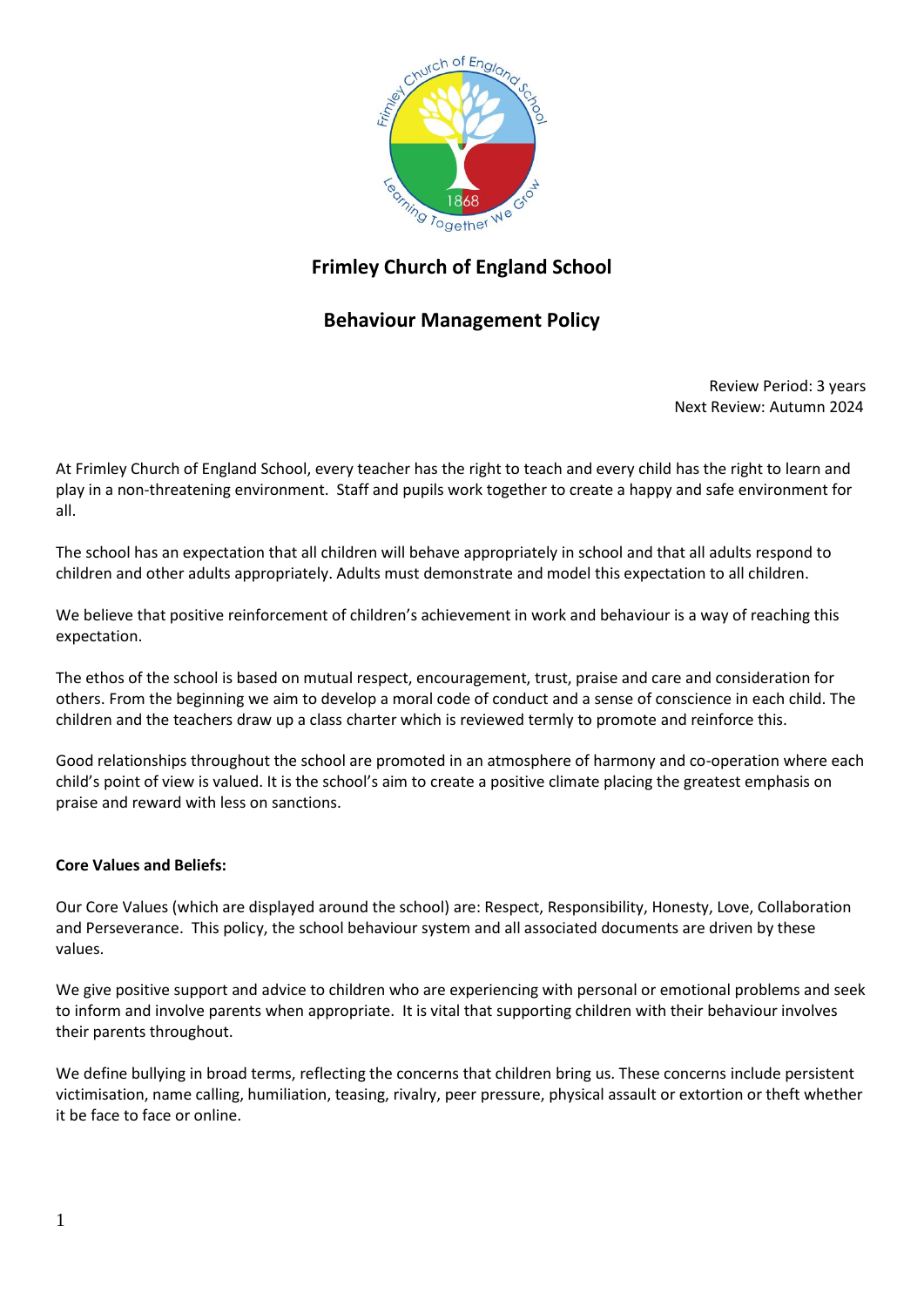

# **Frimley Church of England School**

## **Behaviour Management Policy**

 Review Period: 3 years Next Review: Autumn 2024

At Frimley Church of England School, every teacher has the right to teach and every child has the right to learn and play in a non-threatening environment. Staff and pupils work together to create a happy and safe environment for all.

The school has an expectation that all children will behave appropriately in school and that all adults respond to children and other adults appropriately. Adults must demonstrate and model this expectation to all children.

We believe that positive reinforcement of children's achievement in work and behaviour is a way of reaching this expectation.

The ethos of the school is based on mutual respect, encouragement, trust, praise and care and consideration for others. From the beginning we aim to develop a moral code of conduct and a sense of conscience in each child. The children and the teachers draw up a class charter which is reviewed termly to promote and reinforce this.

Good relationships throughout the school are promoted in an atmosphere of harmony and co-operation where each child's point of view is valued. It is the school's aim to create a positive climate placing the greatest emphasis on praise and reward with less on sanctions.

### **Core Values and Beliefs:**

Our Core Values (which are displayed around the school) are: Respect, Responsibility, Honesty, Love, Collaboration and Perseverance. This policy, the school behaviour system and all associated documents are driven by these values.

We give positive support and advice to children who are experiencing with personal or emotional problems and seek to inform and involve parents when appropriate. It is vital that supporting children with their behaviour involves their parents throughout.

We define bullying in broad terms, reflecting the concerns that children bring us. These concerns include persistent victimisation, name calling, humiliation, teasing, rivalry, peer pressure, physical assault or extortion or theft whether it be face to face or online.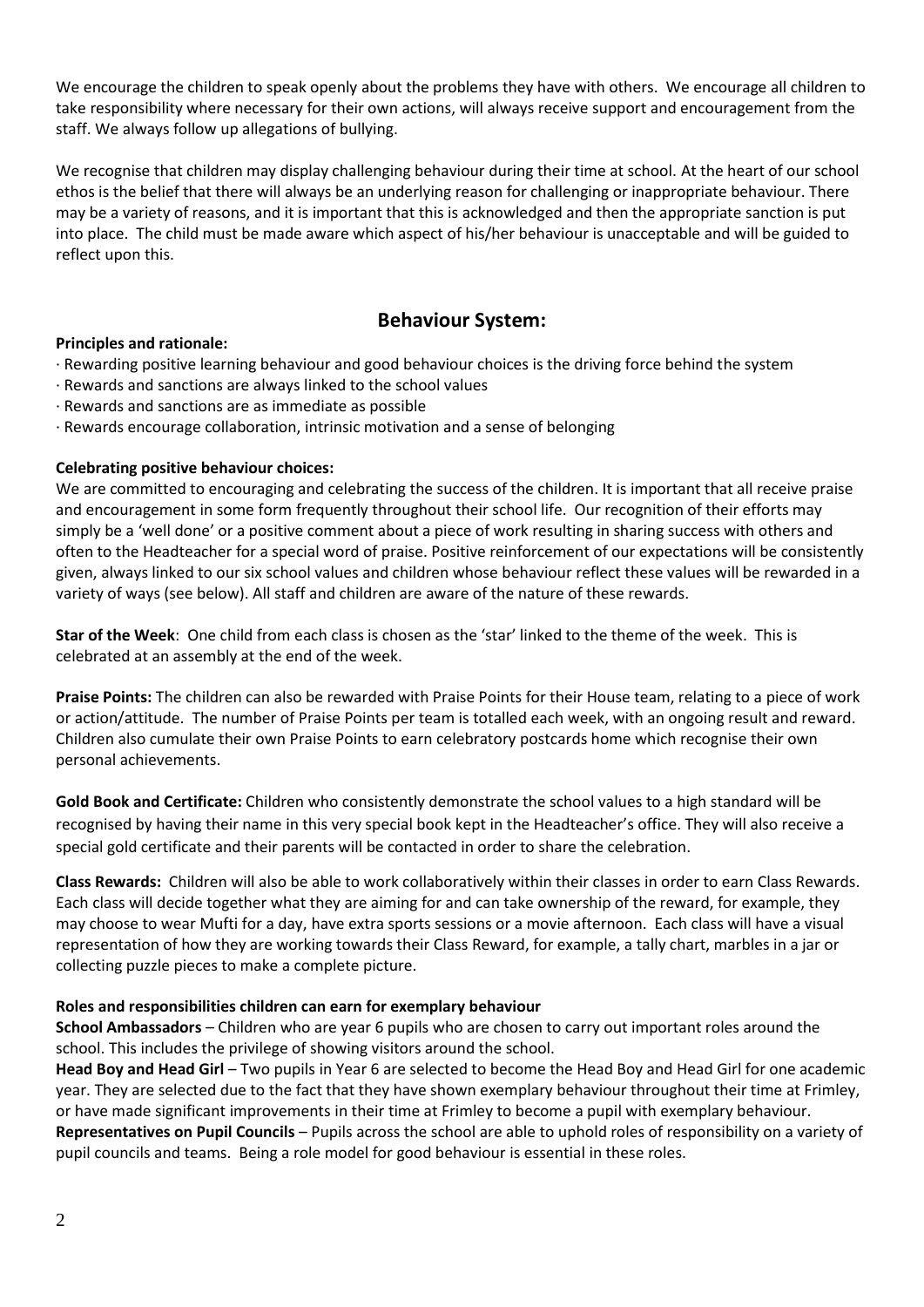We encourage the children to speak openly about the problems they have with others. We encourage all children to take responsibility where necessary for their own actions, will always receive support and encouragement from the staff. We always follow up allegations of bullying.

We recognise that children may display challenging behaviour during their time at school. At the heart of our school ethos is the belief that there will always be an underlying reason for challenging or inappropriate behaviour. There may be a variety of reasons, and it is important that this is acknowledged and then the appropriate sanction is put into place. The child must be made aware which aspect of his/her behaviour is unacceptable and will be guided to reflect upon this.

## **Behaviour System:**

#### **Principles and rationale:**

- · Rewarding positive learning behaviour and good behaviour choices is the driving force behind the system
- · Rewards and sanctions are always linked to the school values
- · Rewards and sanctions are as immediate as possible
- · Rewards encourage collaboration, intrinsic motivation and a sense of belonging

#### **Celebrating positive behaviour choices:**

We are committed to encouraging and celebrating the success of the children. It is important that all receive praise and encouragement in some form frequently throughout their school life. Our recognition of their efforts may simply be a 'well done' or a positive comment about a piece of work resulting in sharing success with others and often to the Headteacher for a special word of praise. Positive reinforcement of our expectations will be consistently given, always linked to our six school values and children whose behaviour reflect these values will be rewarded in a variety of ways (see below). All staff and children are aware of the nature of these rewards.

**Star of the Week**: One child from each class is chosen as the 'star' linked to the theme of the week. This is celebrated at an assembly at the end of the week.

**Praise Points:** The children can also be rewarded with Praise Points for their House team, relating to a piece of work or action/attitude. The number of Praise Points per team is totalled each week, with an ongoing result and reward. Children also cumulate their own Praise Points to earn celebratory postcards home which recognise their own personal achievements.

**Gold Book and Certificate:** Children who consistently demonstrate the school values to a high standard will be recognised by having their name in this very special book kept in the Headteacher's office. They will also receive a special gold certificate and their parents will be contacted in order to share the celebration.

**Class Rewards:** Children will also be able to work collaboratively within their classes in order to earn Class Rewards. Each class will decide together what they are aiming for and can take ownership of the reward, for example, they may choose to wear Mufti for a day, have extra sports sessions or a movie afternoon. Each class will have a visual representation of how they are working towards their Class Reward, for example, a tally chart, marbles in a jar or collecting puzzle pieces to make a complete picture.

#### **Roles and responsibilities children can earn for exemplary behaviour**

**School Ambassadors** – Children who are year 6 pupils who are chosen to carry out important roles around the school. This includes the privilege of showing visitors around the school.

**Head Boy and Head Girl** – Two pupils in Year 6 are selected to become the Head Boy and Head Girl for one academic year. They are selected due to the fact that they have shown exemplary behaviour throughout their time at Frimley, or have made significant improvements in their time at Frimley to become a pupil with exemplary behaviour. **Representatives on Pupil Councils** – Pupils across the school are able to uphold roles of responsibility on a variety of pupil councils and teams. Being a role model for good behaviour is essential in these roles.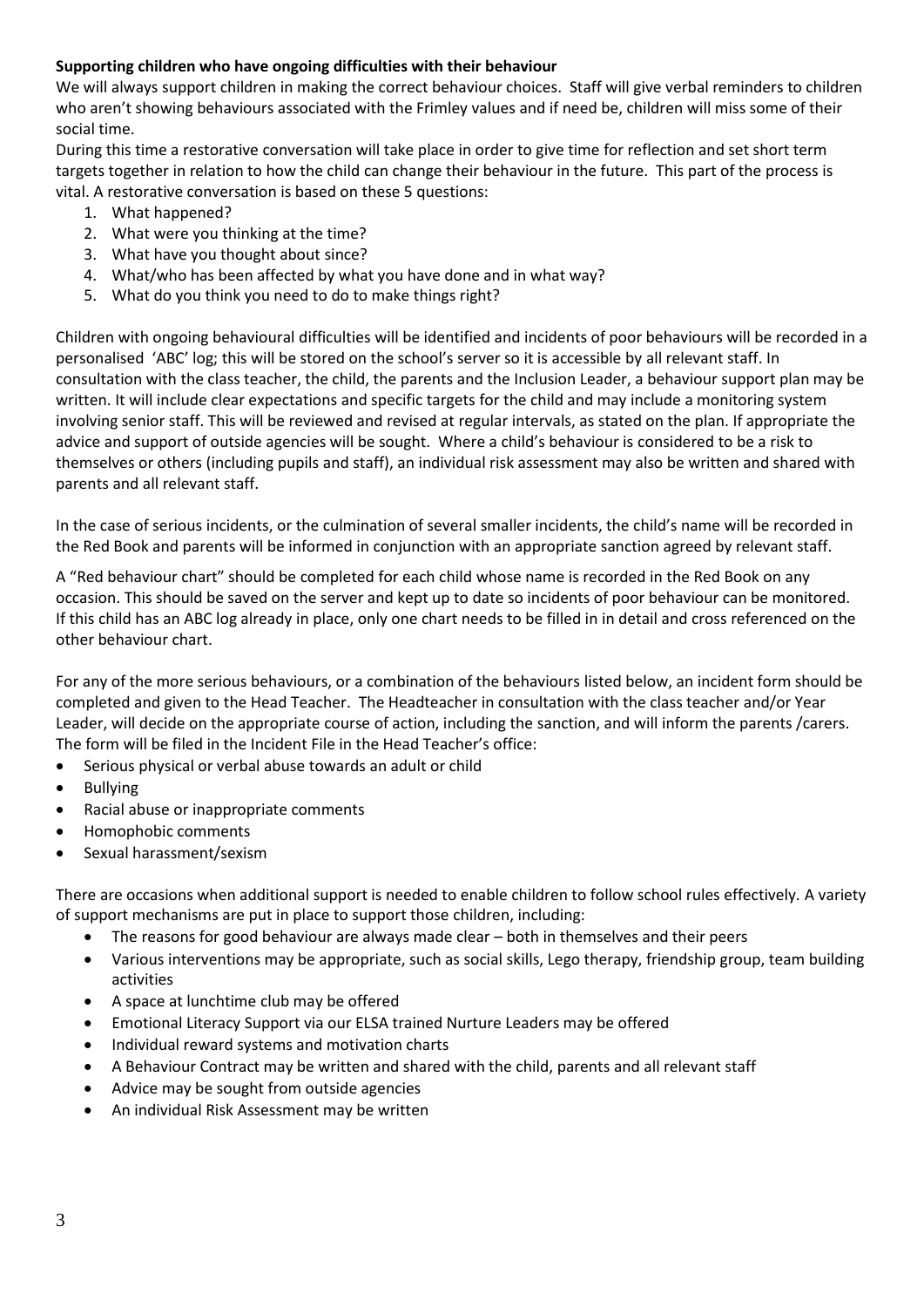### **Supporting children who have ongoing difficulties with their behaviour**

We will always support children in making the correct behaviour choices. Staff will give verbal reminders to children who aren't showing behaviours associated with the Frimley values and if need be, children will miss some of their social time.

During this time a restorative conversation will take place in order to give time for reflection and set short term targets together in relation to how the child can change their behaviour in the future. This part of the process is vital. A restorative conversation is based on these 5 questions:

- 1. What happened?
- 2. What were you thinking at the time?
- 3. What have you thought about since?
- 4. What/who has been affected by what you have done and in what way?
- 5. What do you think you need to do to make things right?

Children with ongoing behavioural difficulties will be identified and incidents of poor behaviours will be recorded in a personalised 'ABC' log; this will be stored on the school's server so it is accessible by all relevant staff. In consultation with the class teacher, the child, the parents and the Inclusion Leader, a behaviour support plan may be written. It will include clear expectations and specific targets for the child and may include a monitoring system involving senior staff. This will be reviewed and revised at regular intervals, as stated on the plan. If appropriate the advice and support of outside agencies will be sought. Where a child's behaviour is considered to be a risk to themselves or others (including pupils and staff), an individual risk assessment may also be written and shared with parents and all relevant staff.

In the case of serious incidents, or the culmination of several smaller incidents, the child's name will be recorded in the Red Book and parents will be informed in conjunction with an appropriate sanction agreed by relevant staff.

A "Red behaviour chart" should be completed for each child whose name is recorded in the Red Book on any occasion. This should be saved on the server and kept up to date so incidents of poor behaviour can be monitored. If this child has an ABC log already in place, only one chart needs to be filled in in detail and cross referenced on the other behaviour chart.

For any of the more serious behaviours, or a combination of the behaviours listed below, an incident form should be completed and given to the Head Teacher. The Headteacher in consultation with the class teacher and/or Year Leader, will decide on the appropriate course of action, including the sanction, and will inform the parents /carers. The form will be filed in the Incident File in the Head Teacher's office:

- Serious physical or verbal abuse towards an adult or child
- **Bullying**
- Racial abuse or inappropriate comments
- Homophobic comments
- Sexual harassment/sexism

There are occasions when additional support is needed to enable children to follow school rules effectively. A variety of support mechanisms are put in place to support those children, including:

- The reasons for good behaviour are always made clear both in themselves and their peers
- Various interventions may be appropriate, such as social skills, Lego therapy, friendship group, team building activities
- A space at lunchtime club may be offered
- Emotional Literacy Support via our ELSA trained Nurture Leaders may be offered
- Individual reward systems and motivation charts
- A Behaviour Contract may be written and shared with the child, parents and all relevant staff
- Advice may be sought from outside agencies
- An individual Risk Assessment may be written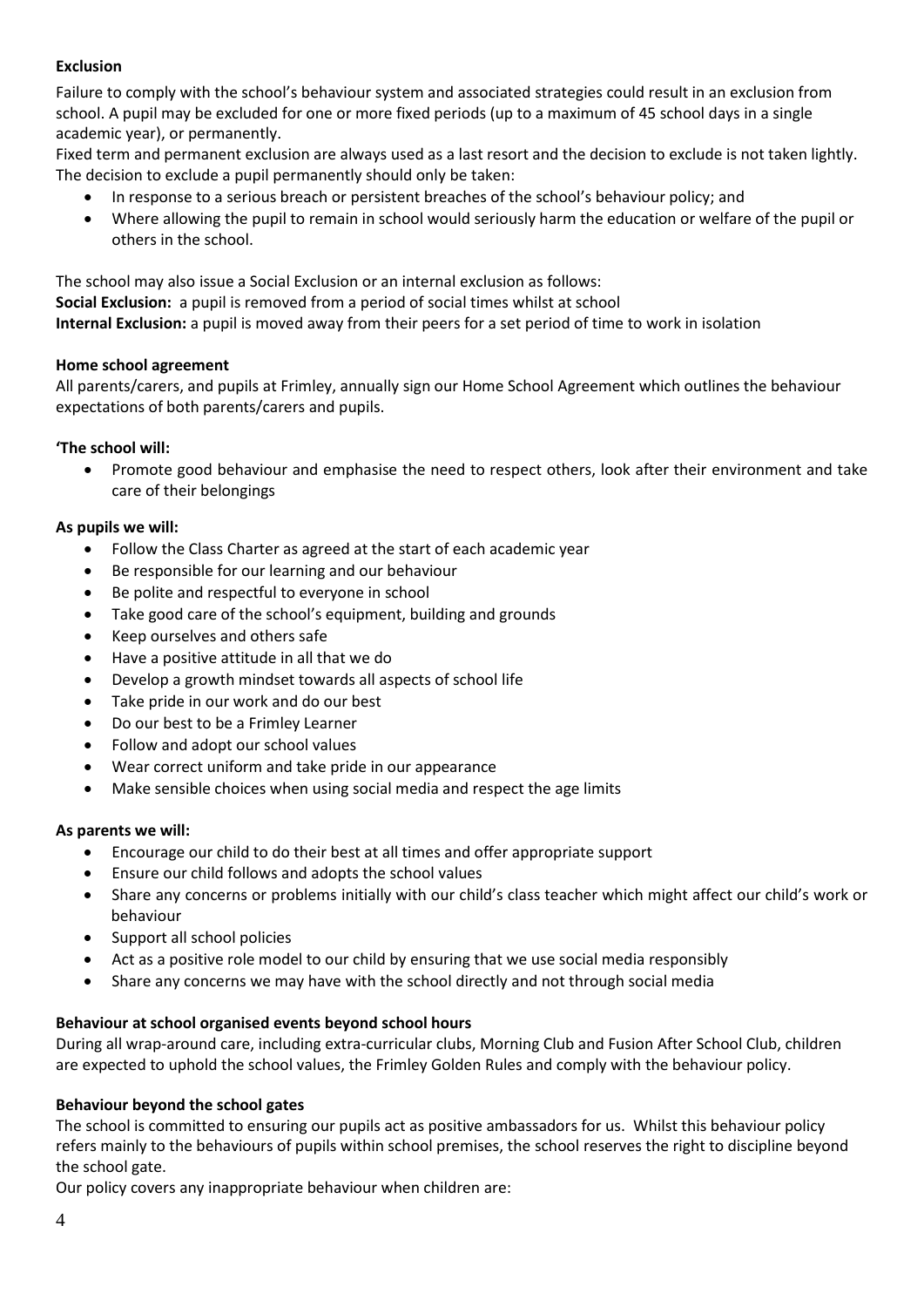## **Exclusion**

Failure to comply with the school's behaviour system and associated strategies could result in an exclusion from school. A pupil may be excluded for one or more fixed periods (up to a maximum of 45 school days in a single academic year), or permanently.

Fixed term and permanent exclusion are always used as a last resort and the decision to exclude is not taken lightly. The decision to exclude a pupil permanently should only be taken:

- In response to a serious breach or persistent breaches of the school's behaviour policy; and
- Where allowing the pupil to remain in school would seriously harm the education or welfare of the pupil or others in the school.

The school may also issue a Social Exclusion or an internal exclusion as follows: **Social Exclusion:** a pupil is removed from a period of social times whilst at school **Internal Exclusion:** a pupil is moved away from their peers for a set period of time to work in isolation

### **Home school agreement**

All parents/carers, and pupils at Frimley, annually sign our Home School Agreement which outlines the behaviour expectations of both parents/carers and pupils.

## **'The school will:**

• Promote good behaviour and emphasise the need to respect others, look after their environment and take care of their belongings

## **As pupils we will:**

- Follow the Class Charter as agreed at the start of each academic year
- Be responsible for our learning and our behaviour
- Be polite and respectful to everyone in school
- Take good care of the school's equipment, building and grounds
- Keep ourselves and others safe
- Have a positive attitude in all that we do
- Develop a growth mindset towards all aspects of school life
- Take pride in our work and do our best
- Do our best to be a Frimley Learner
- Follow and adopt our school values
- Wear correct uniform and take pride in our appearance
- Make sensible choices when using social media and respect the age limits

### **As parents we will:**

- Encourage our child to do their best at all times and offer appropriate support
- Ensure our child follows and adopts the school values
- Share any concerns or problems initially with our child's class teacher which might affect our child's work or behaviour
- Support all school policies
- Act as a positive role model to our child by ensuring that we use social media responsibly
- Share any concerns we may have with the school directly and not through social media

### **Behaviour at school organised events beyond school hours**

During all wrap-around care, including extra-curricular clubs, Morning Club and Fusion After School Club, children are expected to uphold the school values, the Frimley Golden Rules and comply with the behaviour policy.

### **Behaviour beyond the school gates**

The school is committed to ensuring our pupils act as positive ambassadors for us. Whilst this behaviour policy refers mainly to the behaviours of pupils within school premises, the school reserves the right to discipline beyond the school gate.

Our policy covers any inappropriate behaviour when children are: